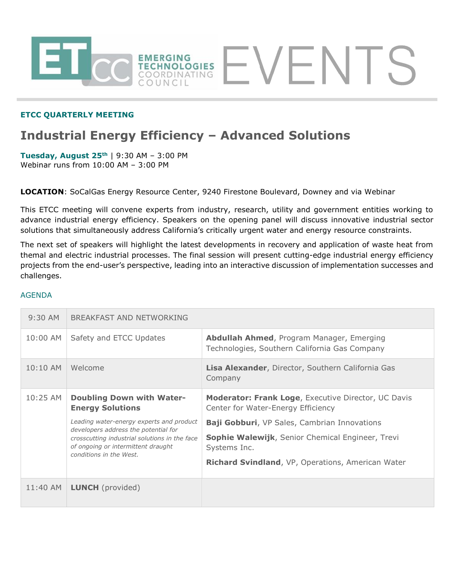

## **ETCC QUARTERLY MEETING**

# **Industrial Energy Efficiency – Advanced Solutions**

**Tuesday, August 25th** | 9:30 AM – 3:00 PM Webinar runs from 10:00 AM – 3:00 PM

**LOCATION**: SoCalGas Energy Resource Center, 9240 Firestone Boulevard, Downey and via Webinar

This ETCC meeting will convene experts from industry, research, utility and government entities working to advance industrial energy efficiency. Speakers on the opening panel will discuss innovative industrial sector solutions that simultaneously address California's critically urgent water and energy resource constraints.

The next set of speakers will highlight the latest developments in recovery and application of waste heat from themal and electric industrial processes. The final session will present cutting-edge industrial energy efficiency projects from the end-user's perspective, leading into an interactive discussion of implementation successes and challenges.

#### AGENDA

| $9:30$ AM  | BREAKFAST AND NETWORKING                                                                                                                                                                           |                                                                                                   |
|------------|----------------------------------------------------------------------------------------------------------------------------------------------------------------------------------------------------|---------------------------------------------------------------------------------------------------|
| 10:00 AM   | Safety and ETCC Updates                                                                                                                                                                            | <b>Abdullah Ahmed, Program Manager, Emerging</b><br>Technologies, Southern California Gas Company |
| $10:10$ AM | Welcome                                                                                                                                                                                            | Lisa Alexander, Director, Southern California Gas<br>Company                                      |
| 10:25 AM   | <b>Doubling Down with Water-</b><br><b>Energy Solutions</b>                                                                                                                                        | <b>Moderator: Frank Loge, Executive Director, UC Davis</b><br>Center for Water-Energy Efficiency  |
|            | Leading water-energy experts and product<br>developers address the potential for<br>crosscutting industrial solutions in the face<br>of ongoing or intermittent draught<br>conditions in the West. | <b>Baji Gobburi</b> , VP Sales, Cambrian Innovations                                              |
|            |                                                                                                                                                                                                    | Sophie Walewijk, Senior Chemical Engineer, Trevi<br>Systems Inc.                                  |
|            |                                                                                                                                                                                                    | Richard Svindland, VP, Operations, American Water                                                 |
| 11:40 AM   | <b>LUNCH</b> (provided)                                                                                                                                                                            |                                                                                                   |